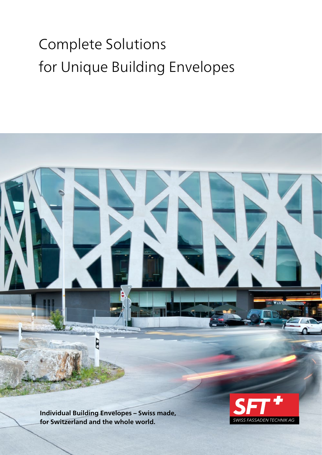# Complete Solutions for Unique Building Envelopes

**Williamm** D

**Individual Building Envelopes – Swiss made, for Switzerland and the whole world.**

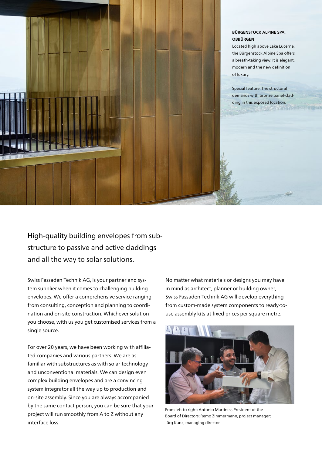

#### **BÜRGENSTOCK ALPINE SPA, OBBÜRGEN**

Located high above Lake Lucerne, the Bürgenstock Alpine Spa offers a breath-taking view. It is elegant, modern and the new definition of luxury.

Special feature: The structural demands with bronze panel-cladding in this exposed location.

High-quality building envelopes from substructure to passive and active claddings and all the way to solar solutions.

Swiss Fassaden Technik AG, is your partner and system supplier when it comes to challenging building envelopes. We offer a comprehensive service ranging from consulting, conception and planning to coordination and on-site construction. Whichever solution you choose, with us you get customised services from a single source.

For over 20 years, we have been working with affiliated companies and various partners. We are as familiar with substructures as with solar technology and unconventional materials. We can design even complex building envelopes and are a convincing system integrator all the way up to production and on-site assembly. Since you are always accompanied by the same contact person, you can be sure that your project will run smoothly from A to Z without any interface loss.

No matter what materials or designs you may have in mind as architect, planner or building owner, Swiss Fassaden Technik AG will develop everything from custom-made system components to ready-touse assembly kits at fixed prices per square metre.



From left to right: Antonio Martinez, President of the Board of Directors; Remo Zimmermann, project manager; Jürg Kunz, managing director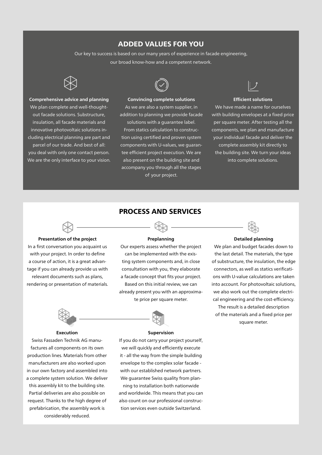# ADDED VALUES FOR YOU

Our key to success is based on our many years of experience in facade engineering, our broad know-how and a competent network.



#### **Comprehensive advice and planning**

We plan complete and well-thoughtout facade solutions. Substructure, insulation, all facade materials and innovative photovoltaic solutions including electrical planning are part and parcel of our trade. And best of all: you deal with only one contact person. We are the only interface to your vision.



#### **Convincing complete solutions**

As we are also a system supplier, in addition to planning we provide facade

solutions with a guarantee label. From statics calculation to construction using certified and proven system components with U-values, we guarantee efficient project execution. We are also present on the building site and accompany you through all the stages of your project.



#### **Efficient solutions**

We have made a name for ourselves with building envelopes at a fixed price per square meter. After testing all the components, we plan and manufacture your individual facade and deliver the complete assembly kit directly to the building site. We turn your ideas

into complete solutions.



#### **Presentation of the project**

In a first conversation you acquaint us with your project. In order to define a course of action, it is a great advantage if you can already provide us with relevant documents such as plans, rendering or presentation of materials.

#### **Preplanning**

Our experts assess whether the project can be implemented with the existing system components and, in close consultation with you, they elaborate a facade concept that fits your project. Based on this initial review, we can already present you with an approximate price per square meter.



#### **Execution**

Swiss Fassaden Technik AG manufactures all components on its own production lines. Materials from other manufacturers are also worked upon in our own factory and assembled into a complete system solution. We deliver this assembly kit to the building site. Partial deliveries are also possible on request. Thanks to the high degree of prefabrication, the assembly work is considerably reduced.

#### **Supervision**

If you do not carry your project yourself, we will quickly and efficiently execute it - all the way from the simple building envelope to the complex solar facade with our established network partners. We guarantee Swiss quality from plan-

ning to installation both nationwide and worldwide. This means that you can also count on our professional construction services even outside Switzerland.



#### **Detailed planning**

We plan and budget facades down to the last detail. The materials, the type of substructure, the insulation, the edge connectors, as well as statics verifications with U-value calculations are taken into account. For photovoltaic solutions, we also work out the complete electrical engineering and the cost-efficiency. The result is a detailed description of the materials and a fixed price per square meter.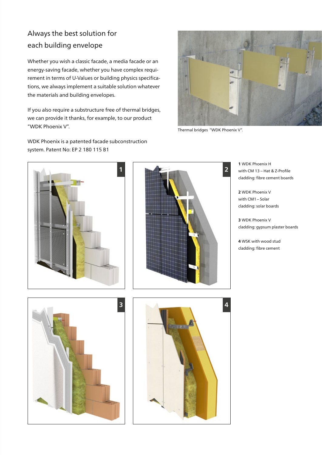# Always the best solution for each building envelope

Whether you wish a classic facade, a media facade or an energy-saving facade, whether you have complex requirement in terms of U-Values or building physics specifications, we always implement a suitable solution whatever the materials and building envelopes.

If you also require a substructure free of thermal bridges, we can provide it thanks, for example, to our product "WDK Phoenix V".

WDK Phoenix is a patented facade subconstruction system. Patent No: EP 2 180 115 B1



Thermal bridges "WDK Phoenix V".





**1** WDK Phoenix H with CM 13 – Hat & Z-Profile cladding: fibre cement boards

**2** WDK Phoenix V with CM1 – Solar cladding: solar boards

**3** WDK Phoenix V cladding: gypsum plaster boards

**4** WSK with wood stud cladding: fibre cement



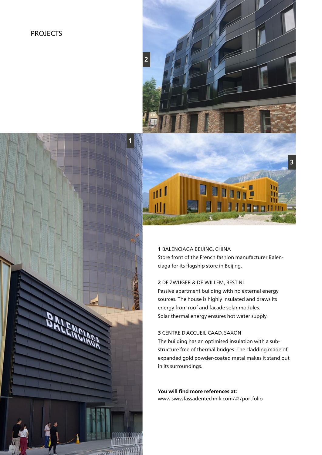## PROJECTS



**1**

**1** BALENCIAGA BEIJING, CHINA Store front of the French fashion manufacturer Balenciaga for its flagship store in Beijing.

#### **2** DE ZWIJGER & DE WILLEM, BEST NL

Passive apartment building with no external energy sources. The house is highly insulated and draws its energy from roof and facade solar modules. Solar thermal energy ensures hot water supply.

### **3** CENTRE D'ACCUEIL CAAD, SAXON

The building has an optimised insulation with a substructure free of thermal bridges. The cladding made of expanded gold powder-coated metal makes it stand out in its surroundings.

**You will find more references at:** www.swissfassadentechnik.com/#!/portfolio